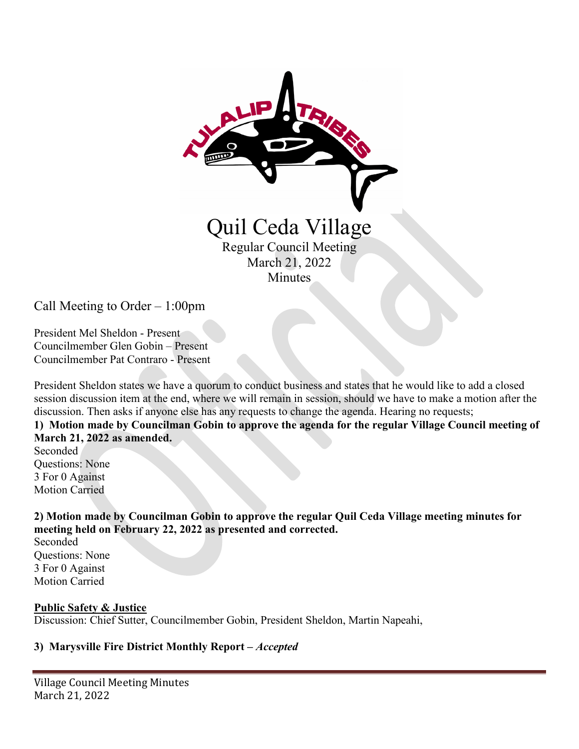

Call Meeting to Order – 1:00pm

President Mel Sheldon - Present Councilmember Glen Gobin – Present Councilmember Pat Contraro - Present

President Sheldon states we have a quorum to conduct business and states that he would like to add a closed session discussion item at the end, where we will remain in session, should we have to make a motion after the discussion. Then asks if anyone else has any requests to change the agenda. Hearing no requests;

### **1) Motion made by Councilman Gobin to approve the agenda for the regular Village Council meeting of March 21, 2022 as amended.**

Seconded Questions: None 3 For 0 Against Motion Carried

**2) Motion made by Councilman Gobin to approve the regular Quil Ceda Village meeting minutes for meeting held on February 22, 2022 as presented and corrected.** 

Seconded Questions: None 3 For 0 Against Motion Carried

#### **Public Safety & Justice**

Discussion: Chief Sutter, Councilmember Gobin, President Sheldon, Martin Napeahi,

#### **3) Marysville Fire District Monthly Report –** *Accepted*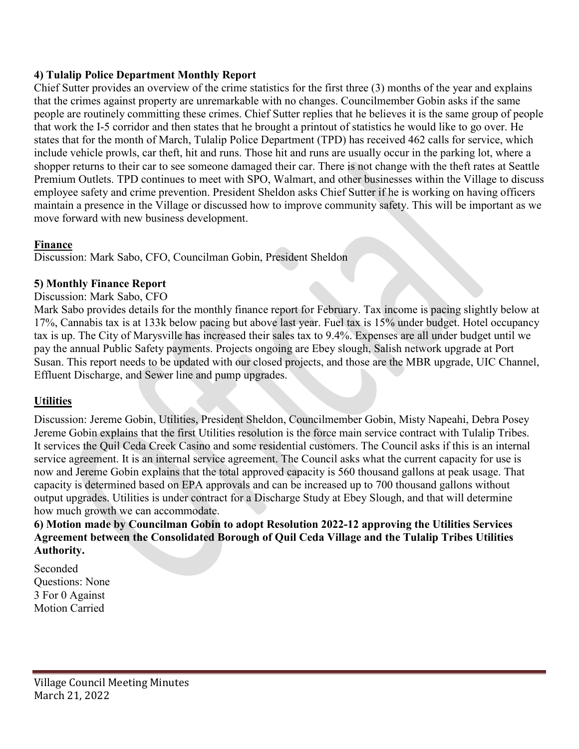## **4) Tulalip Police Department Monthly Report**

Chief Sutter provides an overview of the crime statistics for the first three (3) months of the year and explains that the crimes against property are unremarkable with no changes. Councilmember Gobin asks if the same people are routinely committing these crimes. Chief Sutter replies that he believes it is the same group of people that work the I-5 corridor and then states that he brought a printout of statistics he would like to go over. He states that for the month of March, Tulalip Police Department (TPD) has received 462 calls for service, which include vehicle prowls, car theft, hit and runs. Those hit and runs are usually occur in the parking lot, where a shopper returns to their car to see someone damaged their car. There is not change with the theft rates at Seattle Premium Outlets. TPD continues to meet with SPO, Walmart, and other businesses within the Village to discuss employee safety and crime prevention. President Sheldon asks Chief Sutter if he is working on having officers maintain a presence in the Village or discussed how to improve community safety. This will be important as we move forward with new business development.

## **Finance**

Discussion: Mark Sabo, CFO, Councilman Gobin, President Sheldon

## **5) Monthly Finance Report**

Discussion: Mark Sabo, CFO

Mark Sabo provides details for the monthly finance report for February. Tax income is pacing slightly below at 17%, Cannabis tax is at 133k below pacing but above last year. Fuel tax is 15% under budget. Hotel occupancy tax is up. The City of Marysville has increased their sales tax to 9.4%. Expenses are all under budget until we pay the annual Public Safety payments. Projects ongoing are Ebey slough, Salish network upgrade at Port Susan. This report needs to be updated with our closed projects, and those are the MBR upgrade, UIC Channel, Effluent Discharge, and Sewer line and pump upgrades.

# **Utilities**

Discussion: Jereme Gobin, Utilities, President Sheldon, Councilmember Gobin, Misty Napeahi, Debra Posey Jereme Gobin explains that the first Utilities resolution is the force main service contract with Tulalip Tribes. It services the Quil Ceda Creek Casino and some residential customers. The Council asks if this is an internal service agreement. It is an internal service agreement. The Council asks what the current capacity for use is now and Jereme Gobin explains that the total approved capacity is 560 thousand gallons at peak usage. That capacity is determined based on EPA approvals and can be increased up to 700 thousand gallons without output upgrades. Utilities is under contract for a Discharge Study at Ebey Slough, and that will determine how much growth we can accommodate.

**6) Motion made by Councilman Gobin to adopt Resolution 2022-12 approving the Utilities Services Agreement between the Consolidated Borough of Quil Ceda Village and the Tulalip Tribes Utilities Authority.** 

Seconded Questions: None 3 For 0 Against Motion Carried